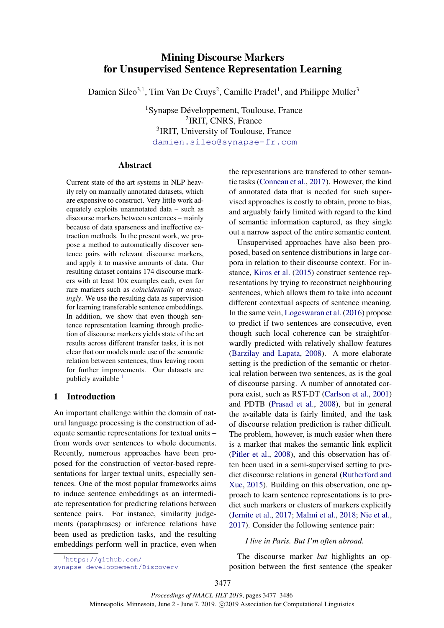# Mining Discourse Markers for Unsupervised Sentence Representation Learning

Damien Sileo<sup>3,1</sup>, Tim Van De Cruys<sup>2</sup>, Camille Pradel<sup>1</sup>, and Philippe Muller<sup>3</sup>

 $1$ Synapse Développement, Toulouse, France 2 IRIT, CNRS, France <sup>3</sup>IRIT, University of Toulouse, France <damien.sileo@synapse-fr.com>

#### Abstract

Current state of the art systems in NLP heavily rely on manually annotated datasets, which are expensive to construct. Very little work adequately exploits unannotated data – such as discourse markers between sentences – mainly because of data sparseness and ineffective extraction methods. In the present work, we propose a method to automatically discover sentence pairs with relevant discourse markers, and apply it to massive amounts of data. Our resulting dataset contains 174 discourse markers with at least 10K examples each, even for rare markers such as *coincidentally* or *amazingly*. We use the resulting data as supervision for learning transferable sentence embeddings. In addition, we show that even though sentence representation learning through prediction of discourse markers yields state of the art results across different transfer tasks, it is not clear that our models made use of the semantic relation between sentences, thus leaving room for further improvements. Our datasets are publicly available  $<sup>1</sup>$  $<sup>1</sup>$  $<sup>1</sup>$ </sup>

# 1 Introduction

An important challenge within the domain of natural language processing is the construction of adequate semantic representations for textual units – from words over sentences to whole documents. Recently, numerous approaches have been proposed for the construction of vector-based representations for larger textual units, especially sentences. One of the most popular frameworks aims to induce sentence embeddings as an intermediate representation for predicting relations between sentence pairs. For instance, similarity judgements (paraphrases) or inference relations have been used as prediction tasks, and the resulting embeddings perform well in practice, even when the representations are transfered to other semantic tasks [\(Conneau et al.,](#page-8-0) [2017\)](#page-8-0). However, the kind of annotated data that is needed for such supervised approaches is costly to obtain, prone to bias, and arguably fairly limited with regard to the kind of semantic information captured, as they single out a narrow aspect of the entire semantic content.

Unsupervised approaches have also been proposed, based on sentence distributions in large corpora in relation to their discourse context. For instance, [Kiros et al.](#page-8-1) [\(2015\)](#page-8-1) construct sentence representations by trying to reconstruct neighbouring sentences, which allows them to take into account different contextual aspects of sentence meaning. In the same vein, [Logeswaran et al.](#page-8-2) [\(2016\)](#page-8-2) propose to predict if two sentences are consecutive, even though such local coherence can be straightforwardly predicted with relatively shallow features [\(Barzilay and Lapata,](#page-8-3) [2008\)](#page-8-3). A more elaborate setting is the prediction of the semantic or rhetorical relation between two sentences, as is the goal of discourse parsing. A number of annotated corpora exist, such as RST-DT [\(Carlson et al.,](#page-8-4) [2001\)](#page-8-4) and PDTB [\(Prasad et al.,](#page-9-0) [2008\)](#page-9-0), but in general the available data is fairly limited, and the task of discourse relation prediction is rather difficult. The problem, however, is much easier when there is a marker that makes the semantic link explicit [\(Pitler et al.,](#page-9-1) [2008\)](#page-9-1), and this observation has often been used in a semi-supervised setting to predict discourse relations in general [\(Rutherford and](#page-9-2) [Xue,](#page-9-2) [2015\)](#page-9-2). Building on this observation, one approach to learn sentence representations is to predict such markers or clusters of markers explicitly [\(Jernite et al.,](#page-8-5) [2017;](#page-8-5) [Malmi et al.,](#page-8-6) [2018;](#page-8-6) [Nie et al.,](#page-9-3) [2017\)](#page-9-3). Consider the following sentence pair:

### *I live in Paris. But I'm often abroad.*

<span id="page-0-0"></span><sup>1</sup>[https://github.com/](https://github.com/synapse-developpement/Discovery)

[synapse-developpement/Discovery](https://github.com/synapse-developpement/Discovery)

The discourse marker *but* highlights an opposition between the first sentence (the speaker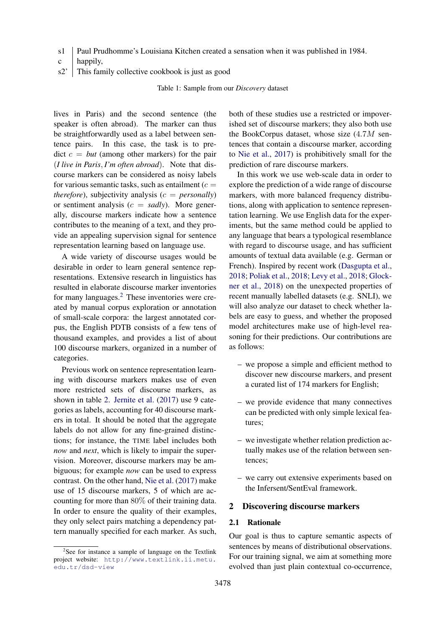<span id="page-1-1"></span>s1 Paul Prudhomme's Louisiana Kitchen created a sensation when it was published in 1984.

- c happily,
- s2' This family collective cookbook is just as good

Table 1: Sample from our *Discovery* dataset

lives in Paris) and the second sentence (the speaker is often abroad). The marker can thus be straightforwardly used as a label between sentence pairs. In this case, the task is to pre- $\det c = \text{but } (\text{among other markers})$  for the pair (*I live in Paris*, *I'm often abroad*). Note that discourse markers can be considered as noisy labels for various semantic tasks, such as entailment  $(c =$ *therefore*), subjectivity analysis ( $c =$  *personally*) or sentiment analysis  $(c = \text{sadly})$ . More generally, discourse markers indicate how a sentence contributes to the meaning of a text, and they provide an appealing supervision signal for sentence representation learning based on language use.

A wide variety of discourse usages would be desirable in order to learn general sentence representations. Extensive research in linguistics has resulted in elaborate discourse marker inventories for many languages.[2](#page-1-0) These inventories were created by manual corpus exploration or annotation of small-scale corpora: the largest annotated corpus, the English PDTB consists of a few tens of thousand examples, and provides a list of about 100 discourse markers, organized in a number of categories.

Previous work on sentence representation learning with discourse markers makes use of even more restricted sets of discourse markers, as shown in table [2.](#page-2-0) [Jernite et al.](#page-8-5) [\(2017\)](#page-8-5) use 9 categories as labels, accounting for 40 discourse markers in total. It should be noted that the aggregate labels do not allow for any fine-grained distinctions; for instance, the TIME label includes both *now* and *next*, which is likely to impair the supervision. Moreover, discourse markers may be ambiguous; for example *now* can be used to express contrast. On the other hand, [Nie et al.](#page-9-3) [\(2017\)](#page-9-3) make use of 15 discourse markers, 5 of which are accounting for more than 80% of their training data. In order to ensure the quality of their examples, they only select pairs matching a dependency pattern manually specified for each marker. As such, both of these studies use a restricted or impoverished set of discourse markers; they also both use the BookCorpus dataset, whose size (4.7M sentences that contain a discourse marker, according to [Nie et al.,](#page-9-3) [2017\)](#page-9-3) is prohibitively small for the prediction of rare discourse markers.

In this work we use web-scale data in order to explore the prediction of a wide range of discourse markers, with more balanced frequency distributions, along with application to sentence representation learning. We use English data for the experiments, but the same method could be applied to any language that bears a typological resemblance with regard to discourse usage, and has sufficient amounts of textual data available (e.g. German or French). Inspired by recent work [\(Dasgupta et al.,](#page-8-7) [2018;](#page-8-7) [Poliak et al.,](#page-9-4) [2018;](#page-9-4) [Levy et al.,](#page-8-8) [2018;](#page-8-8) [Glock](#page-8-9)[ner et al.,](#page-8-9) [2018\)](#page-8-9) on the unexpected properties of recent manually labelled datasets (e.g. SNLI), we will also analyze our dataset to check whether labels are easy to guess, and whether the proposed model architectures make use of high-level reasoning for their predictions. Our contributions are as follows:

- we propose a simple and efficient method to discover new discourse markers, and present a curated list of 174 markers for English;
- we provide evidence that many connectives can be predicted with only simple lexical features;
- we investigate whether relation prediction actually makes use of the relation between sentences;
- we carry out extensive experiments based on the Infersent/SentEval framework.

### 2 Discovering discourse markers

### 2.1 Rationale

Our goal is thus to capture semantic aspects of sentences by means of distributional observations. For our training signal, we aim at something more evolved than just plain contextual co-occurrence,

<span id="page-1-0"></span><sup>&</sup>lt;sup>2</sup>See for instance a sample of language on the Textlink project website: [http://www.textlink.ii.metu.](http://www.textlink.ii.metu.edu.tr/dsd-view) [edu.tr/dsd-view](http://www.textlink.ii.metu.edu.tr/dsd-view)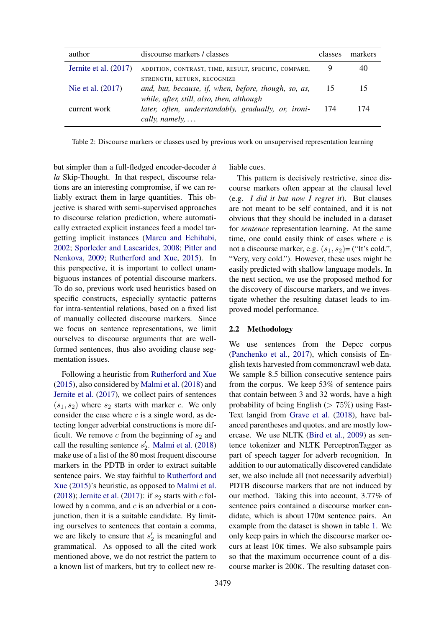<span id="page-2-0"></span>

| author                | discourse markers / classes                                                                                                      | classes | markers |
|-----------------------|----------------------------------------------------------------------------------------------------------------------------------|---------|---------|
| Jernite et al. (2017) | ADDITION, CONTRAST, TIME, RESULT, SPECIFIC, COMPARE,                                                                             |         |         |
| Nie et al. (2017)     | STRENGTH, RETURN, RECOGNIZE<br>and, but, because, if, when, before, though, so, as,<br>while, after, still, also, then, although | 15      |         |
| current work          | later, often, understandably, gradually, or, ironi-<br>cally, namely, $\dots$                                                    | 174     | 174     |

Table 2: Discourse markers or classes used by previous work on unsupervised representation learning

liable cues.

but simpler than a full-fledged encoder-decoder *a` la* Skip-Thought. In that respect, discourse relations are an interesting compromise, if we can reliably extract them in large quantities. This objective is shared with semi-supervised approaches to discourse relation prediction, where automatically extracted explicit instances feed a model targetting implicit instances [\(Marcu and Echihabi,](#page-9-5) [2002;](#page-9-5) [Sporleder and Lascarides,](#page-9-6) [2008;](#page-9-6) [Pitler and](#page-9-7) [Nenkova,](#page-9-7) [2009;](#page-9-7) [Rutherford and Xue,](#page-9-2) [2015\)](#page-9-2). In this perspective, it is important to collect unambiguous instances of potential discourse markers. To do so, previous work used heuristics based on specific constructs, especially syntactic patterns for intra-sentential relations, based on a fixed list of manually collected discourse markers. Since we focus on sentence representations, we limit ourselves to discourse arguments that are wellformed sentences, thus also avoiding clause segmentation issues.

Following a heuristic from [Rutherford and Xue](#page-9-2) [\(2015\)](#page-9-2), also considered by [Malmi et al.](#page-8-6) [\(2018\)](#page-8-6) and [Jernite et al.](#page-8-5) [\(2017\)](#page-8-5), we collect pairs of sentences  $(s_1, s_2)$  where  $s_2$  starts with marker c. We only consider the case where  $c$  is a single word, as detecting longer adverbial constructions is more difficult. We remove  $c$  from the beginning of  $s_2$  and call the resulting sentence  $s'_2$ . [Malmi et al.](#page-8-6) [\(2018\)](#page-8-6) make use of a list of the 80 most frequent discourse markers in the PDTB in order to extract suitable sentence pairs. We stay faithful to [Rutherford and](#page-9-2) [Xue](#page-9-2) [\(2015\)](#page-9-2)'s heuristic, as opposed to [Malmi et al.](#page-8-6) [\(2018\)](#page-8-6); [Jernite et al.](#page-8-5) [\(2017\)](#page-8-5): if  $s_2$  starts with c followed by a comma, and  $c$  is an adverbial or a conjunction, then it is a suitable candidate. By limiting ourselves to sentences that contain a comma, we are likely to ensure that  $s'_2$  is meaningful and grammatical. As opposed to all the cited work mentioned above, we do not restrict the pattern to a known list of markers, but try to collect new re-

3479

This pattern is decisively restrictive, since discourse markers often appear at the clausal level (e.g. *I did it but now I regret it*). But clauses are not meant to be self contained, and it is not obvious that they should be included in a dataset for *sentence* representation learning. At the same time, one could easily think of cases where  $c$  is not a discourse marker, e.g.  $(s_1, s_2)$ = ("It's cold.", "Very, very cold."). However, these uses might be easily predicted with shallow language models. In the next section, we use the proposed method for the discovery of discourse markers, and we investigate whether the resulting dataset leads to improved model performance.

#### 2.2 Methodology

We use sentences from the Depcc corpus [\(Panchenko et al.,](#page-9-8) [2017\)](#page-9-8), which consists of English texts harvested from commoncrawl web data. We sample 8.5 billion consecutive sentence pairs from the corpus. We keep 53% of sentence pairs that contain between 3 and 32 words, have a high probability of being English ( $> 75\%$ ) using Fast-Text langid from [Grave et al.](#page-8-10) [\(2018\)](#page-8-10), have balanced parentheses and quotes, and are mostly lowercase. We use NLTK [\(Bird et al.,](#page-8-11) [2009\)](#page-8-11) as sentence tokenizer and NLTK PerceptronTagger as part of speech tagger for adverb recognition. In addition to our automatically discovered candidate set, we also include all (not necessarily adverbial) PDTB discourse markers that are not induced by our method. Taking this into account, 3.77% of sentence pairs contained a discourse marker candidate, which is about 170M sentence pairs. An example from the dataset is shown in table [1.](#page-1-1) We only keep pairs in which the discourse marker occurs at least 10K times. We also subsample pairs so that the maximum occurrence count of a discourse marker is 200K. The resulting dataset con-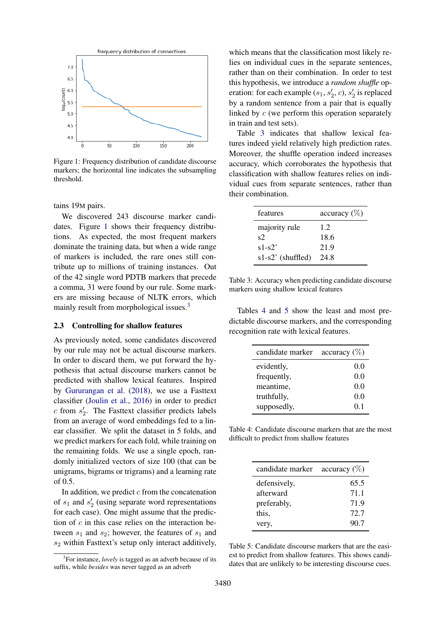<span id="page-3-0"></span>

Figure 1: Frequency distribution of candidate discourse markers; the horizontal line indicates the subsampling threshold.

tains 19M pairs.

We discovered 243 discourse marker candidates. Figure [1](#page-3-0) shows their frequency distributions. As expected, the most frequent markers dominate the training data, but when a wide range of markers is included, the rare ones still contribute up to millions of training instances. Out of the 42 single word PDTB markers that precede a comma, 31 were found by our rule. Some markers are missing because of NLTK errors, which mainly result from morphological issues.<sup>[3](#page-3-1)</sup>

### 2.3 Controlling for shallow features

As previously noted, some candidates discovered by our rule may not be actual discourse markers. In order to discard them, we put forward the hypothesis that actual discourse markers cannot be predicted with shallow lexical features. Inspired by [Gururangan et al.](#page-8-12) [\(2018\)](#page-8-12), we use a Fasttext classifier [\(Joulin et al.,](#page-8-13) [2016\)](#page-8-13) in order to predict  $c$  from  $s'_2$ . The Fasttext classifier predicts labels from an average of word embeddings fed to a linear classifier. We split the dataset in 5 folds, and we predict markers for each fold, while training on the remaining folds. We use a single epoch, randomly initialized vectors of size 100 (that can be unigrams, bigrams or trigrams) and a learning rate of 0.5.

In addition, we predict  $c$  from the concatenation of  $s_1$  and  $s_2'$  (using separate word representations for each case). One might assume that the prediction of  $c$  in this case relies on the interaction between  $s_1$  and  $s_2$ ; however, the features of  $s_1$  and  $s<sub>2</sub>$  within Fasttext's setup only interact additively,

which means that the classification most likely relies on individual cues in the separate sentences, rather than on their combination. In order to test this hypothesis, we introduce a *random shuffle* operation: for each example  $(s_1, s'_2, c)$ ,  $s'_2$  is replaced by a random sentence from a pair that is equally linked by c (we perform this operation separately in train and test sets).

Table [3](#page-3-2) indicates that shallow lexical features indeed yield relatively high prediction rates. Moreover, the shuffle operation indeed increases accuracy, which corroborates the hypothesis that classification with shallow features relies on individual cues from separate sentences, rather than their combination.

<span id="page-3-2"></span>

| features            | accuracy $(\%)$ |
|---------------------|-----------------|
| majority rule       | 1.2             |
| $s$ 2.              | 18.6            |
| $s1-s2'$            | 21.9            |
| $s1-s2'$ (shuffled) | 24.8            |

Table 3: Accuracy when predicting candidate discourse markers using shallow lexical features

Tables [4](#page-3-3) and [5](#page-3-4) show the least and most predictable discourse markers, and the corresponding recognition rate with lexical features.

<span id="page-3-3"></span>

| candidate marker | accuracy $(\%)$ |
|------------------|-----------------|
| evidently,       | 0.0             |
| frequently,      | 0.0             |
| meantime,        | 0.0             |
| truthfully,      | 0.0             |
| supposedly,      | 01              |

Table 4: Candidate discourse markers that are the most difficult to predict from shallow features

<span id="page-3-4"></span>

| candidate marker | accuracy $(\%)$ |
|------------------|-----------------|
| defensively,     | 65.5            |
| afterward        | 71.1            |
| preferably,      | 71.9            |
| this,            | 72.7            |
| very,            | 90.7            |

Table 5: Candidate discourse markers that are the easiest to predict from shallow features. This shows candidates that are unlikely to be interesting discourse cues.

<span id="page-3-1"></span><sup>&</sup>lt;sup>3</sup>For instance, *lovely* is tagged as an adverb because of its suffix, while *besides* was never tagged as an adverb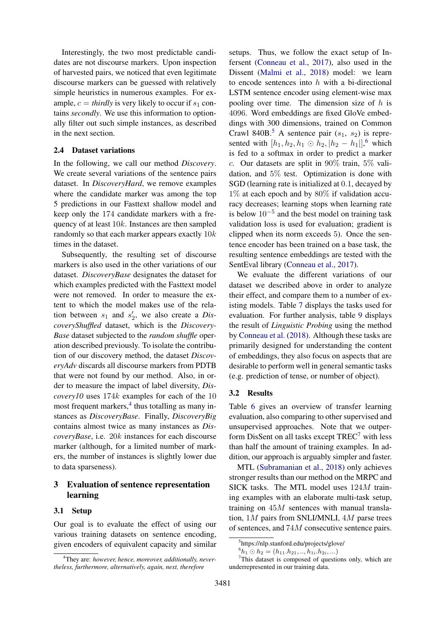Interestingly, the two most predictable candidates are not discourse markers. Upon inspection of harvested pairs, we noticed that even legitimate discourse markers can be guessed with relatively simple heuristics in numerous examples. For example,  $c = *thirdly*$  is very likely to occur if  $s<sub>1</sub>$  contains *secondly*. We use this information to optionally filter out such simple instances, as described in the next section.

### 2.4 Dataset variations

In the following, we call our method *Discovery*. We create several variations of the sentence pairs dataset. In *DiscoveryHard*, we remove examples where the candidate marker was among the top 5 predictions in our Fasttext shallow model and keep only the 174 candidate markers with a frequency of at least 10k. Instances are then sampled randomly so that each marker appears exactly  $10k$ times in the dataset.

Subsequently, the resulting set of discourse markers is also used in the other variations of our dataset. *DiscoveryBase* designates the dataset for which examples predicted with the Fasttext model were not removed. In order to measure the extent to which the model makes use of the relation between  $s_1$  and  $s'_2$ , we also create a *DiscoveryShuffled* dataset, which is the *Discovery-Base* dataset subjected to the *random shuffle* operation described previously. To isolate the contribution of our discovery method, the dataset *DiscoveryAdv* discards all discourse markers from PDTB that were not found by our method. Also, in order to measure the impact of label diversity, *Discovery10* uses 174k examples for each of the 10 most frequent markers, $4$  thus totalling as many instances as *DiscoveryBase*. Finally, *DiscoveryBig* contains almost twice as many instances as *DiscoveryBase*, i.e. 20k instances for each discourse marker (although, for a limited number of markers, the number of instances is slightly lower due to data sparseness).

# 3 Evaluation of sentence representation learning

#### 3.1 Setup

Our goal is to evaluate the effect of using our various training datasets on sentence encoding, given encoders of equivalent capacity and similar setups. Thus, we follow the exact setup of Infersent [\(Conneau et al.,](#page-8-0) [2017\)](#page-8-0), also used in the Dissent [\(Malmi et al.,](#page-8-6) [2018\)](#page-8-6) model: we learn to encode sentences into  $h$  with a bi-directional LSTM sentence encoder using element-wise max pooling over time. The dimension size of  $h$  is 4096. Word embeddings are fixed GloVe embeddings with 300 dimensions, trained on Common Crawl 840B.<sup>[5](#page-4-1)</sup> A sentence pair  $(s_1, s_2)$  is represented with  $[h_1, h_2, h_1 \odot h_2, |h_2 - h_1|]$ , which is fed to a softmax in order to predict a marker c. Our datasets are split in  $90\%$  train,  $5\%$  validation, and 5% test. Optimization is done with SGD (learning rate is initialized at 0.1, decayed by  $1\%$  at each epoch and by  $80\%$  if validation accuracy decreases; learning stops when learning rate is below  $10^{-5}$  and the best model on training task validation loss is used for evaluation; gradient is clipped when its norm exceeds 5). Once the sentence encoder has been trained on a base task, the resulting sentence embeddings are tested with the SentEval library [\(Conneau et al.,](#page-8-0) [2017\)](#page-8-0).

We evaluate the different variations of our dataset we described above in order to analyze their effect, and compare them to a number of existing models. Table [7](#page-5-0) displays the tasks used for evaluation. For further analysis, table [9](#page-7-0) displays the result of *Linguistic Probing* using the method by [Conneau et al.](#page-8-14) [\(2018\)](#page-8-14). Although these tasks are primarily designed for understanding the content of embeddings, they also focus on aspects that are desirable to perform well in general semantic tasks (e.g. prediction of tense, or number of object).

#### 3.2 Results

Table [6](#page-5-1) gives an overview of transfer learning evaluation, also comparing to other supervised and unsupervised approaches. Note that we outperform DisSent on all tasks except  $TREC^7$  $TREC^7$  with less than half the amount of training examples. In addition, our approach is arguably simpler and faster.

MTL [\(Subramanian et al.,](#page-9-9) [2018\)](#page-9-9) only achieves stronger results than our method on the MRPC and SICK tasks. The MTL model uses 124M training examples with an elaborate multi-task setup, training on 45M sentences with manual translation, 1M pairs from SNLI/MNLI, 4M parse trees of sentences, and 74M consecutive sentence pairs.

<span id="page-4-3"></span><span id="page-4-2"></span> $^{6}h_1 \odot h_2 = (h_{11}.h_{21},..,h_{1i}.h_{2i},...)$ 

<span id="page-4-0"></span><sup>4</sup>They are: *however, hence, moreover, additionally, nevertheless, furthermore, alternatively, again, next, therefore*

<span id="page-4-1"></span><sup>5</sup> https://nlp.stanford.edu/projects/glove/

<sup>7</sup>This dataset is composed of questions only, which are underrepresented in our training data.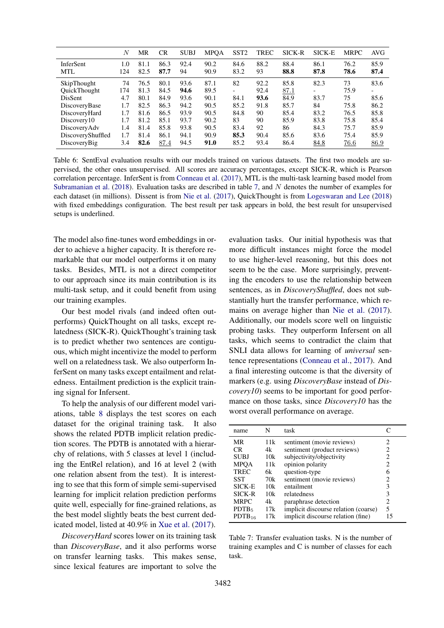<span id="page-5-1"></span>

|                         | $\boldsymbol{N}$ | MR           | CR           | <b>SUBJ</b> | <b>MPOA</b>  | SST <sub>2</sub> | <b>TREC</b> | SICK-R       | SICK-E       | <b>MRPC</b>  | AVG          |
|-------------------------|------------------|--------------|--------------|-------------|--------------|------------------|-------------|--------------|--------------|--------------|--------------|
| InferSent<br><b>MTL</b> | 1.0<br>124       | 81.1<br>82.5 | 86.3<br>87.7 | 92.4<br>94  | 90.2<br>90.9 | 84.6<br>83.2     | 88.2<br>93  | 88.4<br>88.8 | 86.1<br>87.8 | 76.2<br>78.6 | 85.9<br>87.4 |
| SkipThought             | 74               | 76.5         | 80.1         | 93.6        | 87.1         | 82               | 92.2        | 85.8         | 82.3         | 73           | 83.6         |
| <b>OuickThought</b>     | 174              | 81.3         | 84.5         | 94.6        | 89.5         |                  | 92.4        | 87.1         |              | 75.9         |              |
| <b>DisSent</b>          | 4.7              | 80.1         | 84.9         | 93.6        | 90.1         | 84.1             | 93.6        | 84.9         | 83.7         | 75           | 85.6         |
| DiscoveryBase           | 1.7              | 82.5         | 86.3         | 94.2        | 90.5         | 85.2             | 91.8        | 85.7         | 84           | 75.8         | 86.2         |
| DiscoveryHard           | 1.7              | 81.6         | 86.5         | 93.9        | 90.5         | 84.8             | 90          | 85.4         | 83.2         | 76.5         | 85.8         |
| Discovery10             | 1.7              | 81.2         | 85.1         | 93.7        | 90.2         | 83               | 90          | 85.9         | 83.8         | 75.8         | 85.4         |
| DiscoveryAdv            | 1.4              | 81.4         | 85.8         | 93.8        | 90.5         | 83.4             | 92          | 86           | 84.3         | 75.7         | 85.9         |
| DiscoveryShuffled       | 1.7              | 81.4         | 86.1         | 94.1        | 90.9         | 85.3             | 90.4        | 85.6         | 83.6         | 75.4         | 85.9         |
| DiscoveryBig            | 3.4              | 82.6         | 87.4         | 94.5        | 91.0         | 85.2             | 93.4        | 86.4         | 84.8         | 76.6         | 86.9         |

Table 6: SentEval evaluation results with our models trained on various datasets. The first two models are supervised, the other ones unsupervised. All scores are accuracy percentages, except SICK-R, which is Pearson correlation percentage. InferSent is from [Conneau et al.](#page-8-0) [\(2017\)](#page-8-0), MTL is the multi-task learning based model from [Subramanian et al.](#page-9-9) [\(2018\)](#page-9-9). Evaluation tasks are described in table [7,](#page-5-0) and N denotes the number of examples for each dataset (in millions). Dissent is from [Nie et al.](#page-9-3) [\(2017\)](#page-9-3), QuickThought is from [Logeswaran and Lee](#page-8-15) [\(2018\)](#page-8-15) with fixed embeddings configuration. The best result per task appears in bold, the best result for unsupervised setups is underlined.

The model also fine-tunes word embeddings in order to achieve a higher capacity. It is therefore remarkable that our model outperforms it on many tasks. Besides, MTL is not a direct competitor to our approach since its main contribution is its multi-task setup, and it could benefit from using our training examples.

Our best model rivals (and indeed often outperforms) QuickThought on all tasks, except relatedness (SICK-R). QuickThought's training task is to predict whether two sentences are contiguous, which might incentivize the model to perform well on a relatedness task. We also outperform InferSent on many tasks except entailment and relatedness. Entailment prediction is the explicit training signal for Infersent.

To help the analysis of our different model variations, table [8](#page-6-0) displays the test scores on each dataset for the original training task. It also shows the related PDTB implicit relation prediction scores. The PDTB is annotated with a hierarchy of relations, with 5 classes at level 1 (including the EntRel relation), and 16 at level 2 (with one relation absent from the test). It is interesting to see that this form of simple semi-supervised learning for implicit relation prediction performs quite well, especially for fine-grained relations, as the best model slightly beats the best current dedicated model, listed at 40.9% in [Xue et al.](#page-9-10) [\(2017\)](#page-9-10).

*DiscoveryHard* scores lower on its training task than *DiscoveryBase*, and it also performs worse on transfer learning tasks. This makes sense, since lexical features are important to solve the evaluation tasks. Our initial hypothesis was that more difficult instances might force the model to use higher-level reasoning, but this does not seem to be the case. More surprisingly, preventing the encoders to use the relationship between sentences, as in *DiscoveryShuffled*, does not substantially hurt the transfer performance, which remains on average higher than [Nie et al.](#page-9-3) [\(2017\)](#page-9-3). Additionally, our models score well on linguistic probing tasks. They outperform Infersent on all tasks, which seems to contradict the claim that SNLI data allows for learning of *universal* sentence representations [\(Conneau et al.,](#page-8-0) [2017\)](#page-8-0). And a final interesting outcome is that the diversity of markers (e.g. using *DiscoveryBase* instead of *Discovery10*) seems to be important for good performance on those tasks, since *Discovery10* has the worst overall performance on average.

<span id="page-5-0"></span>

| name              | N   | task                                 |                       |
|-------------------|-----|--------------------------------------|-----------------------|
| MR                | 11k | sentiment (movie reviews)            | 2                     |
| CR.               | 4k  | sentiment (product reviews)          | 2                     |
| <b>SUBJ</b>       | 10k | subjectivity/objectivity             | 2                     |
| <b>MPOA</b>       | 11k | opinion polarity                     | 2                     |
| <b>TREC</b>       | 6k. | question-type                        | 6                     |
| SST               | 70k | sentiment (movie reviews)            | $\mathcal{D}_{\cdot}$ |
| <b>SICK-E</b>     | 10k | entailment                           | 3                     |
| SICK-R            | 10k | relatedness                          | 3                     |
| <b>MRPC</b>       | 4k  | paraphrase detection                 | 2                     |
| PDFB <sub>5</sub> | 17k | implicit discourse relation (coarse) | 5                     |
| $PDTB_{16}$       | 17k | implicit discourse relation (fine)   | 15                    |
|                   |     |                                      |                       |

Table 7: Transfer evaluation tasks. N is the number of training examples and C is number of classes for each task.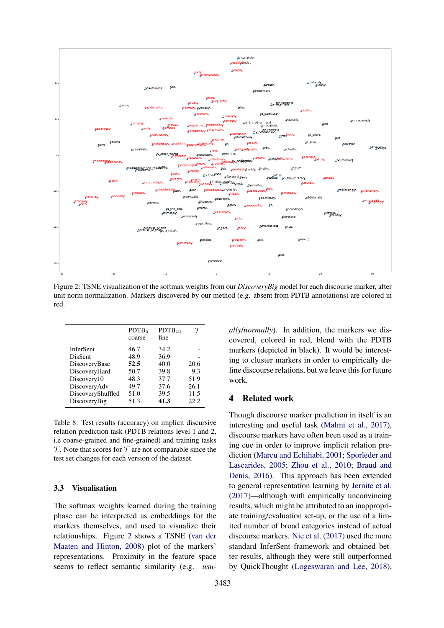<span id="page-6-1"></span>

Figure 2: TSNE visualization of the softmax weights from our *DiscoveryBig* model for each discourse marker, after unit norm normalization. Markers discovered by our method (e.g. absent from PDTB annotations) are colored in red.

<span id="page-6-0"></span>

|                   | PDFB <sub>5</sub><br>coarse | $PDTB_{16}$<br>fine |      |
|-------------------|-----------------------------|---------------------|------|
| <b>InferSent</b>  | 46.7                        | 34.2                |      |
| DisSent           | 48.9                        | 36,9                |      |
| DiscoveryBase     | 52.5                        | 40.0                | 20.6 |
| DiscoveryHard     | 50.7                        | 39.8                | 9.3  |
| Discovery10       | 48.3                        | 37.7                | 51.9 |
| DiscoveryAdv      | 49.7                        | 37.6                | 26.1 |
| DiscoveryShuffled | 51.0                        | 39.5                | 11.5 |
| DiscoveryBig      | 51.3                        | 41.3                | 22.2 |
|                   |                             |                     |      |

Table 8: Test results (accuracy) on implicit discursive relation prediction task (PDTB relations level 1 and 2, i.e coarse-grained and fine-grained) and training tasks  $\mathcal T$ . Note that scores for  $\mathcal T$  are not comparable since the test set changes for each version of the dataset.

### 3.3 Visualisation

The softmax weights learned during the training phase can be interpreted as embeddings for the markers themselves, and used to visualize their relationships. Figure [2](#page-6-1) shows a TSNE [\(van der](#page-8-16) [Maaten and Hinton,](#page-8-16) [2008\)](#page-8-16) plot of the markers' representations. Proximity in the feature space seems to reflect semantic similarity (e.g. *usu-* *ally*/*normally*). In addition, the markers we discovered, colored in red, blend with the PDTB markers (depicted in black). It would be interesting to cluster markers in order to empirically define discourse relations, but we leave this for future work.

### 4 Related work

Though discourse marker prediction in itself is an interesting and useful task [\(Malmi et al.,](#page-8-17) [2017\)](#page-8-17), discourse markers have often been used as a training cue in order to improve implicit relation prediction [\(Marcu and Echihabi,](#page-8-18) [2001;](#page-8-18) [Sporleder and](#page-9-11) [Lascarides,](#page-9-11) [2005;](#page-9-11) [Zhou et al.,](#page-9-12) [2010;](#page-9-12) [Braud and](#page-8-19) [Denis,](#page-8-19) [2016\)](#page-8-19). This approach has been extended to general representation learning by [Jernite et al.](#page-8-5) [\(2017\)](#page-8-5)—although with empirically unconvincing results, which might be attributed to an inappropriate training/evaluation set-up, or the use of a limited number of broad categories instead of actual discourse markers. [Nie et al.](#page-9-3) [\(2017\)](#page-9-3) used the more standard InferSent framework and obtained better results, although they were still outperformed by QuickThought [\(Logeswaran and Lee,](#page-8-15) [2018\)](#page-8-15),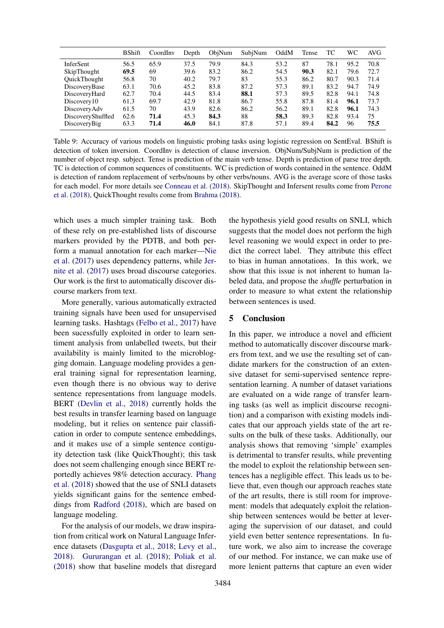<span id="page-7-0"></span>

|                     | <b>B</b> Shift | CoordInv | Depth | ObjNum | SubjNum | OddM | Tense | TС   | WС   | AVG  |
|---------------------|----------------|----------|-------|--------|---------|------|-------|------|------|------|
| InferSent           | 56.5           | 65.9     | 37.5  | 79.9   | 84.3    | 53.2 | 87    | 78.1 | 95.2 | 70.8 |
| SkipThought         | 69.5           | 69       | 39.6  | 83.2   | 86.2    | 54.5 | 90.3  | 82.1 | 79.6 | 72.7 |
| <b>OuickThought</b> | 56.8           | 70       | 40.2  | 79.7   | 83      | 55.3 | 86.2  | 80.7 | 90.3 | 71.4 |
| DiscoveryBase       | 63.1           | 70.6     | 45.2  | 83.8   | 87.2    | 57.3 | 89.1  | 83.2 | 94.7 | 74.9 |
| DiscoveryHard       | 62.7           | 70.4     | 44.5  | 83.4   | 88.1    | 57.3 | 89.5  | 82.8 | 94.1 | 74.8 |
| Discovery10         | 61.3           | 69.7     | 42.9  | 81.8   | 86.7    | 55.8 | 87.8  | 81.4 | 96.1 | 73.7 |
| DiscoveryAdv        | 61.5           | 70       | 43.9  | 82.6   | 86.2    | 56.2 | 89.1  | 82.8 | 96.1 | 74.3 |
| DiscoveryShuffled   | 62.6           | 71.4     | 45.3  | 84.3   | 88      | 58.3 | 89.3  | 82.8 | 93.4 | 75   |
| DiscoveryBig        | 63.3           | 71.4     | 46.0  | 84.1   | 87.8    | 57.1 | 89.4  | 84.2 | 96   | 75.5 |

Table 9: Accuracy of various models on linguistic probing tasks using logistic regression on SentEval. BShift is detection of token inversion. CoordInv is detection of clause inversion. ObjNum/SubjNum is prediction of the number of object resp. subject. Tense is prediction of the main verb tense. Depth is prediction of parse tree depth. TC is detection of common sequences of constituents. WC is prediction of words contained in the sentence. OddM is detection of random replacement of verbs/nouns by other verbs/nouns. AVG is the average score of those tasks for each model. For more details see [Conneau et al.](#page-8-14) [\(2018\)](#page-8-14). SkipThought and Infersent results come from [Perone](#page-9-13) [et al.](#page-9-13) [\(2018\)](#page-9-13), QuickThought results come from [Brahma](#page-8-20) [\(2018\)](#page-8-20).

which uses a much simpler training task. Both of these rely on pre-established lists of discourse markers provided by the PDTB, and both perform a manual annotation for each marker[—Nie](#page-9-3) [et al.](#page-9-3) [\(2017\)](#page-9-3) uses dependency patterns, while [Jer](#page-8-5)[nite et al.](#page-8-5) [\(2017\)](#page-8-5) uses broad discourse categories. Our work is the first to automatically discover discourse markers from text.

More generally, various automatically extracted training signals have been used for unsupervised learning tasks. Hashtags [\(Felbo et al.,](#page-8-21) [2017\)](#page-8-21) have been sucessfully exploited in order to learn sentiment analysis from unlabelled tweets, but their availability is mainly limited to the microblogging domain. Language modeling provides a general training signal for representation learning, even though there is no obvious way to derive sentence representations from language models. BERT [\(Devlin et al.,](#page-8-22) [2018\)](#page-8-22) currently holds the best results in transfer learning based on language modeling, but it relies on sentence pair classification in order to compute sentence embeddings, and it makes use of a simple sentence contiguity detection task (like QuickThought); this task does not seem challenging enough since BERT reportedly achieves 98% detection accuracy. [Phang](#page-9-14) [et al.](#page-9-14) [\(2018\)](#page-9-14) showed that the use of SNLI datasets yields significant gains for the sentence embeddings from [Radford](#page-9-15) [\(2018\)](#page-9-15), which are based on language modeling.

For the analysis of our models, we draw inspiration from critical work on Natural Language Inference datasets [\(Dasgupta et al.,](#page-8-7) [2018;](#page-8-7) [Levy et al.,](#page-8-8) [2018\)](#page-8-8). [Gururangan et al.](#page-8-12) [\(2018\)](#page-8-12); [Poliak et al.](#page-9-4) [\(2018\)](#page-9-4) show that baseline models that disregard

the hypothesis yield good results on SNLI, which suggests that the model does not perform the high level reasoning we would expect in order to predict the correct label. They attribute this effect to bias in human annotations. In this work, we show that this issue is not inherent to human labeled data, and propose the *shuffle* perturbation in order to measure to what extent the relationship between sentences is used.

# 5 Conclusion

In this paper, we introduce a novel and efficient method to automatically discover discourse markers from text, and we use the resulting set of candidate markers for the construction of an extensive dataset for semi-supervised sentence representation learning. A number of dataset variations are evaluated on a wide range of transfer learning tasks (as well as implicit discourse recognition) and a comparison with existing models indicates that our approach yields state of the art results on the bulk of these tasks. Additionally, our analysis shows that removing 'simple' examples is detrimental to transfer results, while preventing the model to exploit the relationship between sentences has a negligible effect. This leads us to believe that, even though our approach reaches state of the art results, there is still room for improvement: models that adequately exploit the relationship between sentences would be better at leveraging the supervision of our dataset, and could yield even better sentence representations. In future work, we also aim to increase the coverage of our method. For instance, we can make use of more lenient patterns that capture an even wider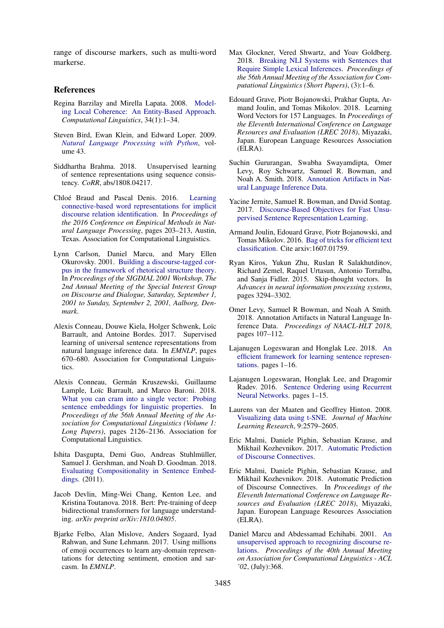range of discourse markers, such as multi-word markerse.

### References

- <span id="page-8-3"></span>Regina Barzilay and Mirella Lapata. 2008. [Model](https://doi.org/10.1162/coli.2008.34.1.1)[ing Local Coherence: An Entity-Based Approach.](https://doi.org/10.1162/coli.2008.34.1.1) *Computational Linguistics*, 34(1):1–34.
- <span id="page-8-11"></span>Steven Bird, Ewan Klein, and Edward Loper. 2009. *[Natural Language Processing with Python](https://doi.org/10.1097/00004770-200204000-00018)*, volume 43.
- <span id="page-8-20"></span>Siddhartha Brahma. 2018. Unsupervised learning of sentence representations using sequence consistency. *CoRR*, abs/1808.04217.
- <span id="page-8-19"></span>Chloé Braud and Pascal Denis. 2016. [Learning](https://aclweb.org/anthology/D16-1020) [connective-based word representations for implicit](https://aclweb.org/anthology/D16-1020) [discourse relation identification.](https://aclweb.org/anthology/D16-1020) In *Proceedings of the 2016 Conference on Empirical Methods in Natural Language Processing*, pages 203–213, Austin, Texas. Association for Computational Linguistics.
- <span id="page-8-4"></span>Lynn Carlson, Daniel Marcu, and Mary Ellen Okurovsky. 2001. [Building a discourse-tagged cor](http://aclweb.org/anthology/W/W01/W01-1605.pdf)[pus in the framework of rhetorical structure theory.](http://aclweb.org/anthology/W/W01/W01-1605.pdf) In *Proceedings of the SIGDIAL 2001 Workshop, The 2nd Annual Meeting of the Special Interest Group on Discourse and Dialogue, Saturday, September 1, 2001 to Sunday, September 2, 2001, Aalborg, Denmark*.
- <span id="page-8-0"></span>Alexis Conneau, Douwe Kiela, Holger Schwenk, Loïc Barrault, and Antoine Bordes. 2017. Supervised learning of universal sentence representations from natural language inference data. In *EMNLP*, pages 670–680. Association for Computational Linguistics.
- <span id="page-8-14"></span>Alexis Conneau, Germán Kruszewski, Guillaume Lample, Loïc Barrault, and Marco Baroni. 2018. [What you can cram into a single vector: Probing](http://aclweb.org/anthology/P18-1198) [sentence embeddings for linguistic properties.](http://aclweb.org/anthology/P18-1198) In *Proceedings of the 56th Annual Meeting of the Association for Computational Linguistics (Volume 1: Long Papers)*, pages 2126–2136. Association for Computational Linguistics.
- <span id="page-8-7"></span>Ishita Dasgupta, Demi Guo, Andreas Stuhlmüller, Samuel J. Gershman, and Noah D. Goodman. 2018. [Evaluating Compositionality in Sentence Embed](http://arxiv.org/abs/1802.04302)[dings.](http://arxiv.org/abs/1802.04302) (2011).
- <span id="page-8-22"></span>Jacob Devlin, Ming-Wei Chang, Kenton Lee, and Kristina Toutanova. 2018. Bert: Pre-training of deep bidirectional transformers for language understanding. *arXiv preprint arXiv:1810.04805*.
- <span id="page-8-21"></span>Bjarke Felbo, Alan Mislove, Anders Sogaard, Iyad Rahwan, and Sune Lehmann. 2017. Using millions of emoji occurrences to learn any-domain representations for detecting sentiment, emotion and sarcasm. In *EMNLP*.
- <span id="page-8-9"></span>Max Glockner, Vered Shwartz, and Yoav Goldberg. 2018. [Breaking NLI Systems with Sentences that](http://arxiv.org/abs/1805.02266) [Require Simple Lexical Inferences.](http://arxiv.org/abs/1805.02266) *Proceedings of the 56th Annual Meeting of the Association for Computational Linguistics (Short Papers)*, (3):1–6.
- <span id="page-8-10"></span>Edouard Grave, Piotr Bojanowski, Prakhar Gupta, Armand Joulin, and Tomas Mikolov. 2018. Learning Word Vectors for 157 Languages. In *Proceedings of the Eleventh International Conference on Language Resources and Evaluation (LREC 2018)*, Miyazaki, Japan. European Language Resources Association (ELRA).
- <span id="page-8-12"></span>Suchin Gururangan, Swabha Swayamdipta, Omer Levy, Roy Schwartz, Samuel R. Bowman, and Noah A. Smith. 2018. [Annotation Artifacts in Nat](http://arxiv.org/abs/1803.02324)[ural Language Inference Data.](http://arxiv.org/abs/1803.02324)
- <span id="page-8-5"></span>Yacine Jernite, Samuel R. Bowman, and David Sontag. 2017. [Discourse-Based Objectives for Fast Unsu](http://arxiv.org/abs/1705.00557)[pervised Sentence Representation Learning.](http://arxiv.org/abs/1705.00557)
- <span id="page-8-13"></span>Armand Joulin, Edouard Grave, Piotr Bojanowski, and Tomas Mikolov. 2016. [Bag of tricks for efficient text](http://arxiv.org/abs/1607.01759) [classification.](http://arxiv.org/abs/1607.01759) Cite arxiv:1607.01759.
- <span id="page-8-1"></span>Ryan Kiros, Yukun Zhu, Ruslan R Salakhutdinov, Richard Zemel, Raquel Urtasun, Antonio Torralba, and Sanja Fidler. 2015. Skip-thought vectors. In *Advances in neural information processing systems*, pages 3294–3302.
- <span id="page-8-8"></span>Omer Levy, Samuel R Bowman, and Noah A Smith. 2018. Annotation Artifacts in Natural Language Inference Data. *Proceedings of NAACL-HLT 2018*, pages 107–112.
- <span id="page-8-15"></span>Lajanugen Logeswaran and Honglak Lee. 2018. [An](http://arxiv.org/abs/1803.02893) [efficient framework for learning sentence represen](http://arxiv.org/abs/1803.02893)[tations.](http://arxiv.org/abs/1803.02893) pages 1–16.
- <span id="page-8-2"></span>Lajanugen Logeswaran, Honglak Lee, and Dragomir Radev. 2016. [Sentence Ordering using Recurrent](http://arxiv.org/abs/1611.02654) [Neural Networks.](http://arxiv.org/abs/1611.02654) pages 1–15.
- <span id="page-8-16"></span>Laurens van der Maaten and Geoffrey Hinton. 2008. [Visualizing data using t-SNE.](http://www.jmlr.org/papers/v9/vandermaaten08a.html) *Journal of Machine Learning Research*, 9:2579–2605.
- <span id="page-8-17"></span>Eric Malmi, Daniele Pighin, Sebastian Krause, and Mikhail Kozhevnikov. 2017. [Automatic Prediction](http://arxiv.org/abs/1702.00992) [of Discourse Connectives.](http://arxiv.org/abs/1702.00992)
- <span id="page-8-6"></span>Eric Malmi, Daniele Pighin, Sebastian Krause, and Mikhail Kozhevnikov. 2018. Automatic Prediction of Discourse Connectives. In *Proceedings of the Eleventh International Conference on Language Resources and Evaluation (LREC 2018)*, Miyazaki, Japan. European Language Resources Association (ELRA).
- <span id="page-8-18"></span>Daniel Marcu and Abdessamad Echihabi. 2001. [An](https://doi.org/10.3115/1073083.1073145) [unsupervised approach to recognizing discourse re](https://doi.org/10.3115/1073083.1073145)[lations.](https://doi.org/10.3115/1073083.1073145) *Proceedings of the 40th Annual Meeting on Association for Computational Linguistics - ACL '02*, (July):368.